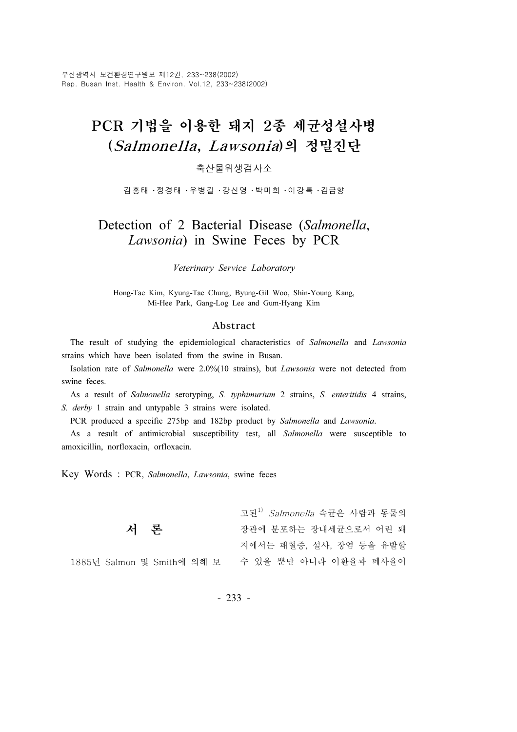# PCR 기법을 이용한 돼지 2종 세균성설사병 (Salmonella, Lawsonia)의 정밀진단

### 축산물위생검사소

김홍태 ・정경태 ・우병길 ・강신영 ・박미희 ・이강록 ・김금향

# Detection of 2 Bacterial Disease (Salmonella, Lawsonia) in Swine Feces by PCR

#### Veterinary Service Laboratory

Hong-Tae Kim, Kyung-Tae Chung, Byung-Gil Woo, Shin-Young Kang, Mi-Hee Park, Gang-Log Lee and Gum-Hyang Kim

#### Abstract

The result of studying the epidemiological characteristics of Salmonella and Lawsonia strains which have been isolated from the swine in Busan.

Isolation rate of Salmonella were 2.0%(10 strains), but Lawsonia were not detected from swine feces.

As a result of Salmonella serotyping, S. typhimurium 2 strains, S. enteritidis 4 strains, S. derby 1 strain and untypable 3 strains were isolated.

PCR produced a specific 275bp and 182bp product by Salmonella and Lawsonia.

As a result of antimicrobial susceptibility test, all Salmonella were susceptible to amoxicillin, norfloxacin, orfloxacin.

Key Words : PCR, Salmonella, Lawsonia, swine feces

1885년

|                      | 고된 <sup>1)</sup> Salmonella 속균은 사람과 동물의 |
|----------------------|-----------------------------------------|
| 서 론                  | 장관에 분포하는 장내세균으로서 어린 돼                   |
|                      | 지에서는 패혈증, 설사, 장염 등을 유발할                 |
| Salmon 및 Smith에 의해 보 | 수 있을 뿐만 아니라 이환율과 폐사율이                   |

- 233 -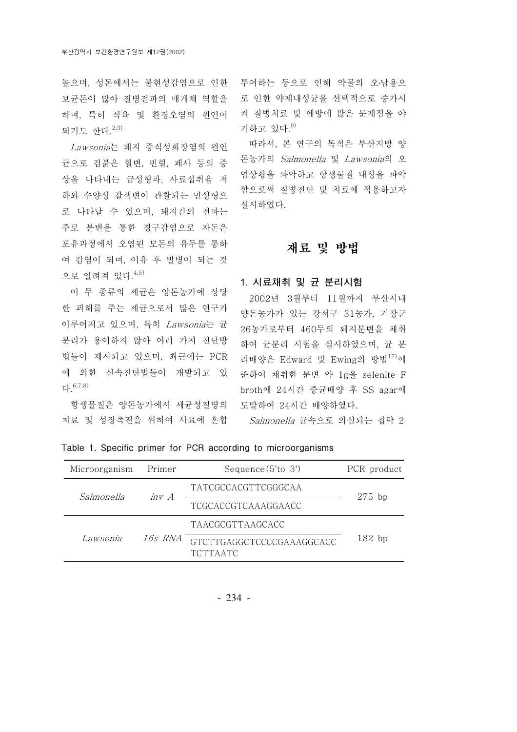되기도 한다. 2,3)

Lawsonia는 돼지 증식성회장염의 원인 규으로 검붉은 혈변, 빈혈, 페사 등의 증 상을 나타내는 급성형과, 사료섭취율 저 하와 수양성 갈색변이 관찰되는 만성형으 로 나타날 수 있으며, 돼지간의 전파는 주로 분변을 통한 경구감염으로 자돈은 포유과정에서 오염된 모돈의 유두를 통하 여 감염이 되며, 이유 후 발병이 되는 것 으로 알려져 있다. 4.5)

이 두 종류의 세균은 양돈농가에 상당 한 피해를 주는 세균으로서 많은 연구가 이루어지고 있으며, 특히 Lawsonia는 균 분리가 용이하지 않아 여러 가지 진단방 법들이 제시되고 있으며, 최근에는 PCR 에 의한 신속진단법들이 개발되고 있 다. 6,7,8)

항생물질은 양돈농가에서 세균성질병의 치료 및 성장촉진을 위하여 사료에 혼합

높으며, 성돈에서는 불현성감염으로 인한 투여하는 등으로 인해 약물의 오 남용으 보균돈이 많아 질병전파의 매개체 역할을 로 인한 약제내성균을 선택적으로 증가시 하며, 특히 식육 및 환경오염의 원인이 켜질병치료 및 예방에 많은 문제점을 야 기하고 있다. 9)

> 따라서, 본 연구의 목적은 부산지방 양 돈농가의 Salmonella 및 Lawsonia의 오 염상황을 파악하고 항생물질 내성을 파악 함으로써 질병진단 및 치료에 적용하고자 실시하였다.

# 재료 및 방법

#### 1. 시료채취 및 균 분리시험

2002년 3월부터 11월까지 부산시내 양돈농가가 있는 강서구 31농가, 기장군 26농가로부터 460두의 돼지분변을 채취 하여 균분리 시험을 실시하였으며, 균 분 리배양은 Edward 및 Ewing의 방법 $17$ 에 준하여 채취한 분변 약 1g을 selenite F broth에 24시간 증균배양 후 SS agar에 도말하여 24시간 배양하였다.

Salmonella 균속으로 의심되는 집락 2

| Microorganism | Primer  | Sequence $(5'to 3')$                         | PCR product |  |
|---------------|---------|----------------------------------------------|-------------|--|
| Salmonella    | $inv$ A | TATCGCCACGTTCGGGCAA                          | $275$ bp    |  |
|               |         | TCGCACCGTCAAAGGAACC                          |             |  |
|               | 16s RNA | <b>TAACGCGTTAAGCACC</b>                      |             |  |
| Lawsonia      |         | GTCTTGAGGCTCCCCGAAAGGCACC<br><b>TCTTAATC</b> | $182$ bp    |  |

Table 1. Specific primer for PCR according to microorganisms

- 234 -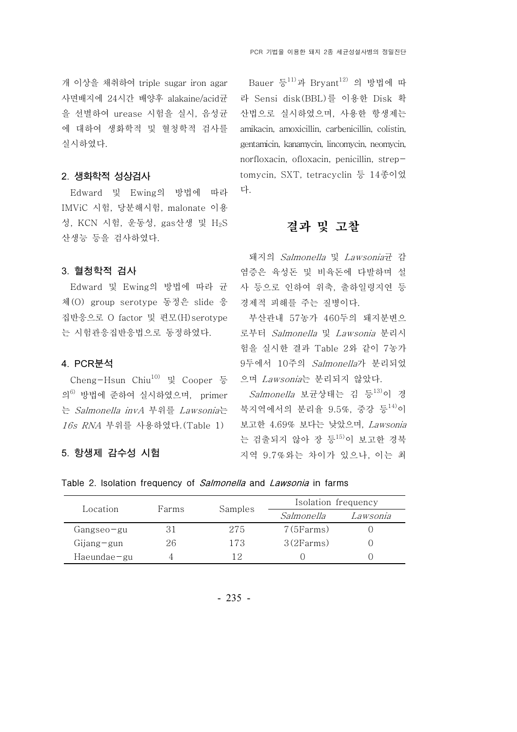개 이상을 채취하여 triple sugar iron agar 사면배지에 24시간 배양후 alakaine/acid균 을 선별하여 urease 시험을 실시, 음성균 에 대하여 생화학적 및 혈청학적 검사를 실시하였다.

#### 2. 생화학적 성상검사

Edward 및 Ewing의 방법에 따라 IMViC 시험, 당분해시험, malonate 이용 성, KCN 시험, 운동성, gas산생 및 H<sub>2</sub>S 산생능 등을 검사하였다.

3. 혈청학적 검사

Edward 및 Ewing의 방법에 따라 균 체 (O) group serotype 동정은 slide 응 집반응으로 O factor 및 편모 (H)serotype 는 시험관응집반응법으로 동정하였다.

#### 4. PCR분석

Cheng-Hsun Chiu<sup>10)</sup> 및 Cooper 등 의6) 방법에 준하여 실시하였으며, primer 는 *Salmonella invA* 부위를 *Lawsonia*는 북지역에서의 분리율 9.5%, 중강 등<sup>14)</sup>이 16s RNA 부위를 사용하였다.(Table 1)

#### 5. 항생제 감수성 시험

Bauer 등 $^{11)}$ 과 Bryant $^{12)}$  의 방법에 따 라 Sensi disk(BBL)를 이용한 Disk 확 산법으로 실시하였으며, 사용한 항생제는 amikacin, amoxicillin, carbenicillin, colistin, gentamicin, kanamycin, lincomycin, neomycin, norfloxacin, ofloxacin, penicillin, streptomycin, SXT, tetracyclin 등 14종이었 다.

# 결과 및 고찰

돼지의 Salmonella 및 Lawsonia균 감 염증은 육성돈 및 비육돈에 다발하며 설 사 등으로 인하여 위축, 출하일령지연 등 경제적 피해를 주는 질병이다.

부산관내 57농가 460두의 돼지분변으 로부터 Salmonella 및 Lawsonia 분리시 험을 실시한 결과 Table 2와 같이 7농가 9 두에서 10주의 Salmonella가 분리되었 으며 Lawsonia는 분리되지 않았다.

*Salmonella* 보균상태는 김 등<sup>13)</sup>이 경 보고한 4.69% 보다는 낮았으며, Lawsonia 는 검출되지 않아 장 등15)이 보고한 경북 지역 9.7% 와는 차이가 있으나, 이는 최

#### Table 2. Isolation frequency of *Salmonella* and *Lawsonia* in farms

| Location          | Farms |         | Isolation frequency |          |  |
|-------------------|-------|---------|---------------------|----------|--|
|                   |       | Samples | Salmonella          | Lawsonia |  |
| Gangseo-gu        |       | 275     | 7(5Farms)           |          |  |
| $Gijang-gun$      | 26    | 173     | 3(2Farms)           |          |  |
| $Hae$ undae $-gu$ |       | 19      |                     |          |  |

- 235 -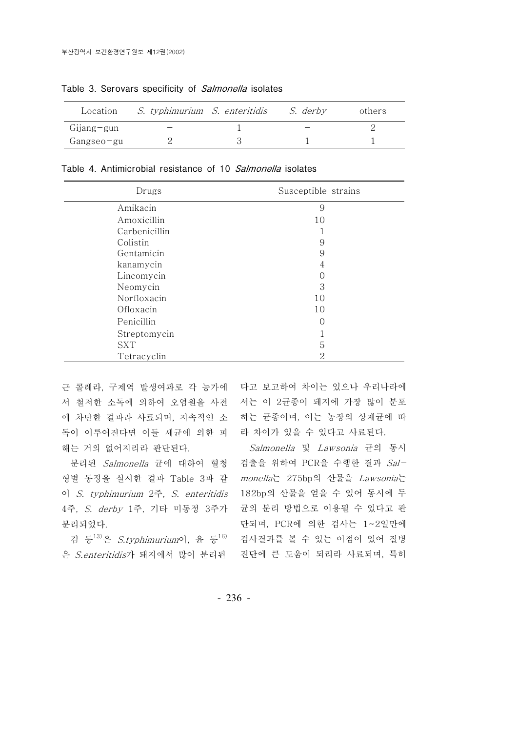| Location          | <i>S. typhimurium S. enteritidis</i> | S. derbv | others |
|-------------------|--------------------------------------|----------|--------|
| $Gi$ jang $-g$ un |                                      |          |        |
| Gangseo-gu        |                                      |          |        |

Table 3. Serovars specificity of Salmonella isolates

|  |  | Table 4. Antimicrobial resistance of 10 Salmonella isolates |  |  |  |  |  |
|--|--|-------------------------------------------------------------|--|--|--|--|--|
|--|--|-------------------------------------------------------------|--|--|--|--|--|

| Drugs         | Susceptible strains |
|---------------|---------------------|
| Amikacin      | 9                   |
| Amoxicillin   | 10                  |
| Carbenicillin |                     |
| Colistin      | 9                   |
| Gentamicin    | 9                   |
| kanamycin     | 4                   |
| Lincomycin    | O                   |
| Neomycin      | 3                   |
| Norfloxacin   | 10                  |
| Ofloxacin     | 10                  |
| Penicillin    | C                   |
| Streptomycin  |                     |
| <b>SXT</b>    | 5                   |
| Tetracyclin   | 2                   |

서 철저한 소독에 의하여 오염원을 사전 서는 이 2균종이 돼지에 가장 많이 분포 에 차단한 결과라 사료되며, 지속적인 소 하는 균종이며, 이는 농장의 상재균에 따 독이 이루어진다면 이들 세균에 의한 피 라 차이가 있을 수 있다고 사료된다. 해는 거의 없어지리라 판단된다.

형별 동정을 실시한 결과 Table 3과 같 monella는 275bp의 산물을 Lawsonia는 이 S. typhimurium 2주, S. enteritidis 182bp의 산물을 얻을 수 있어 동시에 두 4주, S. derby 1주, 기타 미동정 3주가 균의 분리 방법으로 이용될 수 있다고 판 분리되었다.

근 콜레라, 구제역 발생여파로 각 농가에 다고 보고하여 차이는 있으나 우리나라에

분리된 Salmonella 균에 대하여 혈청 검출을 위하여 PCR을 수행한 결과 Sal-김 등<sup>13)</sup>은 *S.typhimurium*이, 윤 등<sup>16)</sup> 검사결과를 볼 수 있는 이점이 있어 질병 은 S.enteritidis가 돼지에서 많이 분리된 진단에 큰 도움이 되리라 사료되며, 특히 Salmonella 및 Lawsonia 균의 동시 단되며, PCR에 의한 검사는 1~2일만에

- 236 -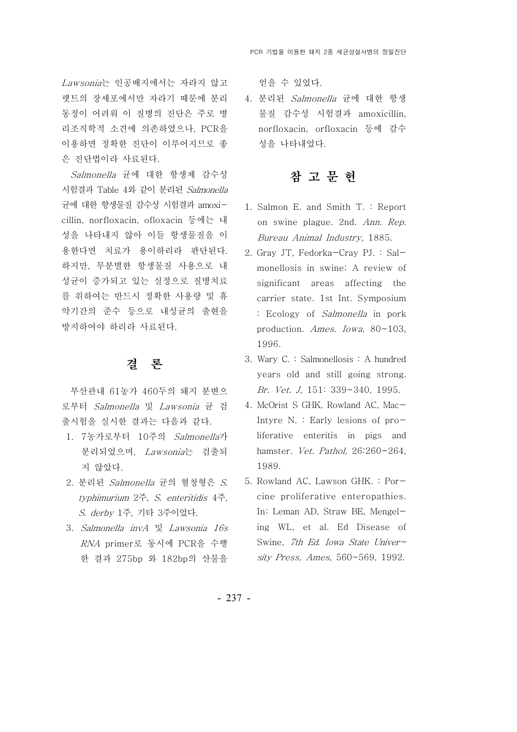Lawsonia는 인공배지에서는 자라지 않고 랫트의 장세포에서만 자라기 때문에 분리 동정이 어려워 이 질병의 진단은 주로 병 리조직학적 소견에 의존하였으나, PCR을 이용하면 정확한 진단이 이루어지므로 좋 은 진단법이라 사료된다.

Salmonella 균에 대한 항생제 감수성 시험결과 Table 4와 같이 분리된 Salmonella 균에 대한 항생물질 감수성 시험결과 amoxicillin, norfloxacin, ofloxacin 등에는 내 성을 나타내지 않아 이들 항생물질을 이 용한다면 치료가 용이하리라 판단된다. 하지만, 무분별한 항생물질 사용으로 내 성균이 증가되고 있는 실정으로 질병치료 를 위하여는 반드시 정확한 사용량 및 휴 약기간의 준수 등으로 내성균의 출현을 방지하여야 하리라 사료된다.

## 결 론

부산관내 61농가 460두의 돼지 분변으 로부터 Salmonella 및 Lawsonia 균 검 출시험을 실시한 결과는 다음과 같다.

- 1. 7 농가로부터 10주의 Salmonella가 분리되었으며, Lawsonia는 검출되 지 않았다.
- 2. 분리된 Salmonella 균의 혈청형은 S. typhimurium  $2\tilde{\tau}$ , S. enteritidis  $4\tilde{\tau}$ , S. derby 1주, 기타 3주이었다.
- 3. Salmonella invA 및 Lawsonia 16s RNA primer로 동시에 PCR을 수행 한 결과 275bp 와 182bp의 산물을

얻을 수 있었다.

4. 분리된 Salmonella 균에 대한 항생 물질 감수성 시험결과 amoxicillin, norfloxacin, orfloxacin 등에 감수 성을 나타내었다.

# 참 고 문 헌

- 1. Salmon E. and Smith T. : Report on swine plague. 2nd. Ann. Rep. Bureau Animal Industry, 1885.
- 2. Gray JT, Fedorka-Cray PJ. : Salmonellosis in swine; A review of significant areas affecting the carrier state. 1st Int. Symposium : Ecology of Salmonella in pork production. Ames. Iowa, 80~103, 1996.
- 3. Wary C. : Salmonellosis : A hundred years old and still going strong. Br. Vet. J, 151: 339~340, 1995.
- 4. McOrist S GHK, Rowland AC, Mac-Intyre N. : Early lesions of proliferative enteritis in pigs and hamster. Vet. Pathol, 26:260~264, 1989.
- 5. Rowland AC, Lawson GHK. : Porcine proliferative enteropathies. In: Leman AD, Straw BE, Mengeling WL, et al. Ed Disease of Swine, 7th Ed. Iowa State University Press, Ames, 560~569, 1992.